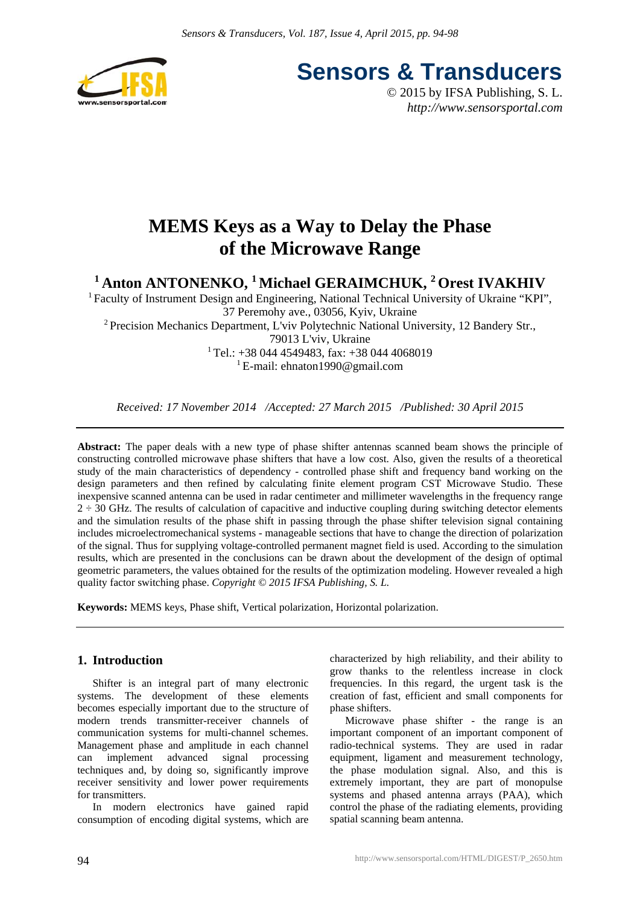

**Sensors & Transducers**

© 2015 by IFSA Publishing, S. L. *http://www.sensorsportal.com*

# **MEMS Keys as a Way to Delay the Phase of the Microwave Range**

<sup>1</sup> Anton ANTONENKO, <sup>1</sup> Michael GERAIMCHUK, <sup>2</sup> Orest IVAKHIV

<sup>1</sup> Faculty of Instrument Design and Engineering, National Technical University of Ukraine "KPI", 37 Peremohy ave., 03056, Kyiv, Ukraine 2 Precision Mechanics Department, L'viv Polytechnic National University, 12 Bandery Str., 79013 L'viv, Ukraine  $1$ Tel.: +38 044 4549483, fax: +38 044 4068019 <sup>1</sup> E-mail: ehnaton1990@gmail.com

*Received: 17 November 2014 /Accepted: 27 March 2015 /Published: 30 April 2015*

**Abstract:** The paper deals with a new type of phase shifter antennas scanned beam shows the principle of constructing controlled microwave phase shifters that have a low cost. Also, given the results of a theoretical study of the main characteristics of dependency - controlled phase shift and frequency band working on the design parameters and then refined by calculating finite element program CST Microwave Studio. These inexpensive scanned antenna can be used in radar centimeter and millimeter wavelengths in the frequency range  $2 \div 30$  GHz. The results of calculation of capacitive and inductive coupling during switching detector elements and the simulation results of the phase shift in passing through the phase shifter television signal containing includes microelectromechanical systems - manageable sections that have to change the direction of polarization of the signal. Thus for supplying voltage-controlled permanent magnet field is used. According to the simulation results, which are presented in the conclusions can be drawn about the development of the design of optimal geometric parameters, the values obtained for the results of the optimization modeling. However revealed a high quality factor switching phase. *Copyright © 2015 IFSA Publishing, S. L.*

**Keywords:** MEMS keys, Phase shift, Vertical polarization, Horizontal polarization.

## **1. Introduction**

Shifter is an integral part of many electronic systems. The development of these elements becomes especially important due to the structure of modern trends transmitter-receiver channels of communication systems for multi-channel schemes. Management phase and amplitude in each channel can implement advanced signal processing techniques and, by doing so, significantly improve receiver sensitivity and lower power requirements for transmitters.

In modern electronics have gained rapid consumption of encoding digital systems, which are

characterized by high reliability, and their ability to grow thanks to the relentless increase in clock frequencies. In this regard, the urgent task is the creation of fast, efficient and small components for phase shifters.

Microwave phase shifter - the range is an important component of an important component of radio-technical systems. They are used in radar equipment, ligament and measurement technology, the phase modulation signal. Also, and this is extremely important, they are part of monopulse systems and phased antenna arrays (PAA), which control the phase of the radiating elements, providing spatial scanning beam antenna.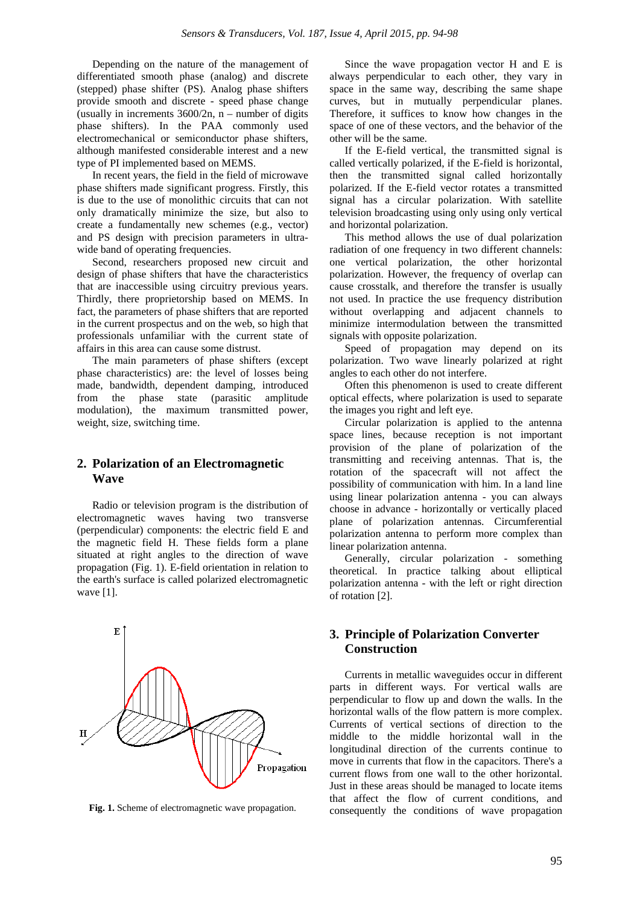Depending on the nature of the management of differentiated smooth phase (analog) and discrete (stepped) phase shifter (PS). Analog phase shifters provide smooth and discrete - speed phase change (usually in increments  $3600/2n$ , n – number of digits phase shifters). In the PAA commonly used electromechanical or semiconductor phase shifters, although manifested considerable interest and a new type of PI implemented based on MEMS.

In recent years, the field in the field of microwave phase shifters made significant progress. Firstly, this is due to the use of monolithic circuits that can not only dramatically minimize the size, but also to create a fundamentally new schemes (e.g., vector) and PS design with precision parameters in ultrawide band of operating frequencies.

Second, researchers proposed new circuit and design of phase shifters that have the characteristics that are inaccessible using circuitry previous years. Thirdly, there proprietorship based on MEMS. In fact, the parameters of phase shifters that are reported in the current prospectus and on the web, so high that professionals unfamiliar with the current state of affairs in this area can cause some distrust.

The main parameters of phase shifters (except phase characteristics) are: the level of losses being made, bandwidth, dependent damping, introduced from the phase state (parasitic amplitude modulation), the maximum transmitted power, weight, size, switching time.

#### **2. Polarization of an Electromagnetic Wave**

Radio or television program is the distribution of electromagnetic waves having two transverse (perpendicular) components: the electric field E and the magnetic field H. These fields form a plane situated at right angles to the direction of wave propagation (Fig. 1). E-field orientation in relation to the earth's surface is called polarized electromagnetic wave [1].



**Fig. 1.** Scheme of electromagnetic wave propagation.

Since the wave propagation vector H and E is always perpendicular to each other, they vary in space in the same way, describing the same shape curves, but in mutually perpendicular planes. Therefore, it suffices to know how changes in the space of one of these vectors, and the behavior of the other will be the same.

If the E-field vertical, the transmitted signal is called vertically polarized, if the E-field is horizontal, then the transmitted signal called horizontally polarized. If the E-field vector rotates a transmitted signal has a circular polarization. With satellite television broadcasting using only using only vertical and horizontal polarization.

This method allows the use of dual polarization radiation of one frequency in two different channels: one vertical polarization, the other horizontal polarization. However, the frequency of overlap can cause crosstalk, and therefore the transfer is usually not used. In practice the use frequency distribution without overlapping and adjacent channels to minimize intermodulation between the transmitted signals with opposite polarization.

Speed of propagation may depend on its polarization. Two wave linearly polarized at right angles to each other do not interfere.

Often this phenomenon is used to create different optical effects, where polarization is used to separate the images you right and left eye.

Circular polarization is applied to the antenna space lines, because reception is not important provision of the plane of polarization of the transmitting and receiving antennas. That is, the rotation of the spacecraft will not affect the possibility of communication with him. In a land line using linear polarization antenna - you can always choose in advance - horizontally or vertically placed plane of polarization antennas. Circumferential polarization antenna to perform more complex than linear polarization antenna.

Generally, circular polarization - something theoretical. In practice talking about elliptical polarization antenna - with the left or right direction of rotation [2].

# **3. Principle of Polarization Converter Construction**

Currents in metallic waveguides occur in different parts in different ways. For vertical walls are perpendicular to flow up and down the walls. In the horizontal walls of the flow pattern is more complex. Currents of vertical sections of direction to the middle to the middle horizontal wall in the longitudinal direction of the currents continue to move in currents that flow in the capacitors. There's a current flows from one wall to the other horizontal. Just in these areas should be managed to locate items that affect the flow of current conditions, and consequently the conditions of wave propagation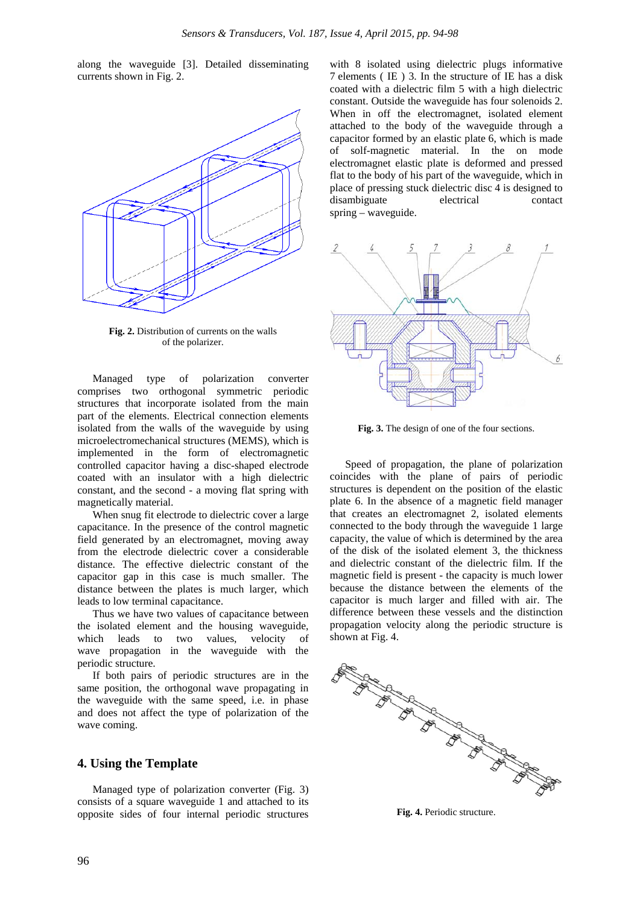along the waveguide [3]. Detailed disseminating currents shown in Fig. 2.



**Fig. 2.** Distribution of currents on the walls of the polarizer.

Managed type of polarization converter comprises two orthogonal symmetric periodic structures that incorporate isolated from the main part of the elements. Electrical connection elements isolated from the walls of the waveguide by using microelectromechanical structures (MEMS), which is implemented in the form of electromagnetic controlled capacitor having a disc-shaped electrode coated with an insulator with a high dielectric constant, and the second - a moving flat spring with magnetically material.

When snug fit electrode to dielectric cover a large capacitance. In the presence of the control magnetic field generated by an electromagnet, moving away from the electrode dielectric cover a considerable distance. The effective dielectric constant of the capacitor gap in this case is much smaller. The distance between the plates is much larger, which leads to low terminal capacitance.

Thus we have two values of capacitance between the isolated element and the housing waveguide, which leads to two values, velocity of wave propagation in the waveguide with the periodic structure.

If both pairs of periodic structures are in the same position, the orthogonal wave propagating in the waveguide with the same speed, i.e. in phase and does not affect the type of polarization of the wave coming.

#### **4. Using the Template**

Managed type of polarization converter (Fig. 3) consists of a square waveguide 1 and attached to its opposite sides of four internal periodic structures

with 8 isolated using dielectric plugs informative 7 elements ( IE ) 3. In the structure of IE has a disk coated with a dielectric film 5 with a high dielectric constant. Outside the waveguide has four solenoids 2. When in off the electromagnet, isolated element attached to the body of the waveguide through a capacitor formed by an elastic plate 6, which is made of solf-magnetic material. In the on mode electromagnet elastic plate is deformed and pressed flat to the body of his part of the waveguide, which in place of pressing stuck dielectric disc 4 is designed to disambiguate electrical contact spring – waveguide.



**Fig. 3.** The design of one of the four sections.

Speed of propagation, the plane of polarization coincides with the plane of pairs of periodic structures is dependent on the position of the elastic plate 6. In the absence of a magnetic field manager that creates an electromagnet 2, isolated elements connected to the body through the waveguide 1 large capacity, the value of which is determined by the area of the disk of the isolated element 3, the thickness and dielectric constant of the dielectric film. If the magnetic field is present - the capacity is much lower because the distance between the elements of the capacitor is much larger and filled with air. The difference between these vessels and the distinction propagation velocity along the periodic structure is shown at Fig. 4.



**Fig. 4.** Periodic structure.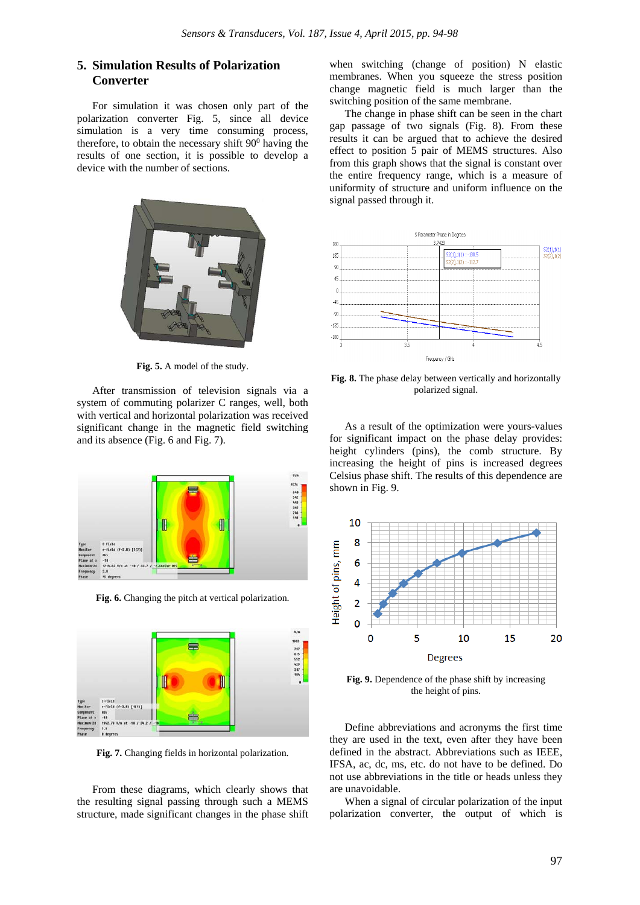### **5. Simulation Results of Polarization Converter**

For simulation it was chosen only part of the polarization converter Fig. 5, since all device simulation is a very time consuming process, therefore, to obtain the necessary shift  $90^{\circ}$  having the results of one section, it is possible to develop a device with the number of sections.



**Fig. 5.** A model of the study.

After transmission of television signals via a system of commuting polarizer C ranges, well, both with vertical and horizontal polarization was received significant change in the magnetic field switching and its absence (Fig. 6 and Fig. 7).



**Fig. 6.** Changing the pitch at vertical polarization.



**Fig. 7.** Changing fields in horizontal polarization.

From these diagrams, which clearly shows that the resulting signal passing through such a MEMS structure, made significant changes in the phase shift

when switching (change of position) N elastic membranes. When you squeeze the stress position change magnetic field is much larger than the switching position of the same membrane.

The change in phase shift can be seen in the chart gap passage of two signals (Fig. 8). From these results it can be argued that to achieve the desired effect to position 5 pair of MEMS structures. Also from this graph shows that the signal is constant over the entire frequency range, which is a measure of uniformity of structure and uniform influence on the signal passed through it.



**Fig. 8.** The phase delay between vertically and horizontally polarized signal.

As a result of the optimization were yours-values for significant impact on the phase delay provides: height cylinders (pins), the comb structure. By increasing the height of pins is increased degrees Celsius phase shift. The results of this dependence are shown in Fig. 9.



**Fig. 9.** Dependence of the phase shift by increasing the height of pins.

Define abbreviations and acronyms the first time they are used in the text, even after they have been defined in the abstract. Abbreviations such as IEEE, IFSA, ac, dc, ms, etc. do not have to be defined. Do not use abbreviations in the title or heads unless they are unavoidable.

When a signal of circular polarization of the input polarization converter, the output of which is